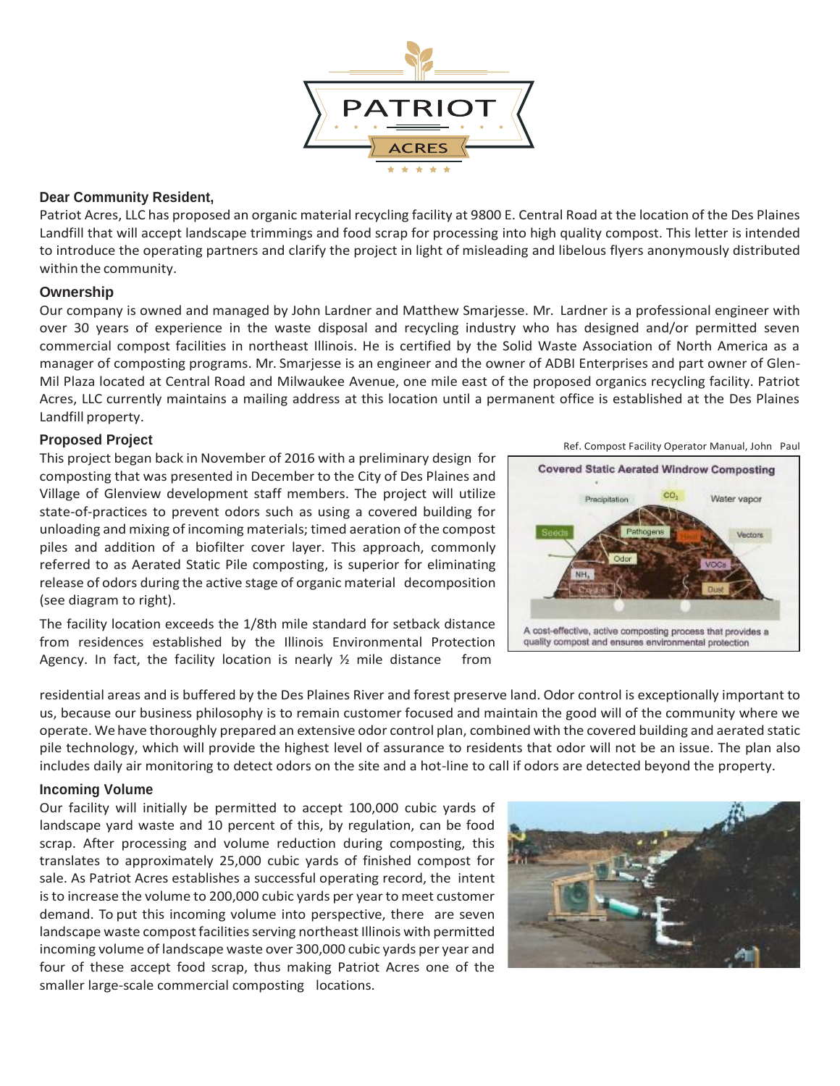

# **Dear Community Resident,**

Patriot Acres, LLC has proposed an organic material recycling facility at 9800 E. Central Road at the location of the Des Plaines Landfill that will accept landscape trimmings and food scrap for processing into high quality compost. This letter is intended to introduce the operating partners and clarify the project in light of misleading and libelous flyers anonymously distributed within the community.

### **Ownership**

Our company is owned and managed by John Lardner and Matthew Smarjesse. Mr. Lardner is a professional engineer with over 30 years of experience in the waste disposal and recycling industry who has designed and/or permitted seven commercial compost facilities in northeast Illinois. He is certified by the Solid Waste Association of North America as a manager of composting programs. Mr. Smarjesse is an engineer and the owner of ADBI Enterprises and part owner of Glen-Mil Plaza located at Central Road and Milwaukee Avenue, one mile east of the proposed organics recycling facility. Patriot Acres, LLC currently maintains a mailing address at this location until a permanent office is established at the Des Plaines Landfill property.

### **Proposed Project**

This project began back in November of 2016 with a preliminary design for composting that was presented in December to the City of Des Plaines and Village of Glenview development staff members. The project will utilize state-of-practices to prevent odors such as using a covered building for unloading and mixing of incoming materials; timed aeration of the compost piles and addition of a biofilter cover layer. This approach, commonly referred to as Aerated Static Pile composting, is superior for eliminating release of odors during the active stage of organic material decomposition (see diagram to right).

The facility location exceeds the 1/8th mile standard for setback distance from residences established by the Illinois Environmental Protection Agency. In fact, the facility location is nearly  $\frac{1}{2}$  mile distance from

residential areas and is buffered by the Des Plaines River and forest preserve land. Odor control is exceptionally important to us, because our business philosophy is to remain customer focused and maintain the good will of the community where we operate. We have thoroughly prepared an extensive odor control plan, combined with the covered building and aerated static pile technology, which will provide the highest level of assurance to residents that odor will not be an issue. The plan also includes daily air monitoring to detect odors on the site and a hot-line to call if odors are detected beyond the property.

### **Incoming Volume**

Our facility will initially be permitted to accept 100,000 cubic yards of landscape yard waste and 10 percent of this, by regulation, can be food scrap. After processing and volume reduction during composting, this translates to approximately 25,000 cubic yards of finished compost for sale. As Patriot Acres establishes a successful operating record, the intent is to increase the volume to 200,000 cubic yards per year to meet customer demand. To put this incoming volume into perspective, there are seven landscape waste compost facilities serving northeast Illinois with permitted incoming volume of landscape waste over 300,000 cubic yards per year and four of these accept food scrap, thus making Patriot Acres one of the smaller large-scale commercial composting locations.